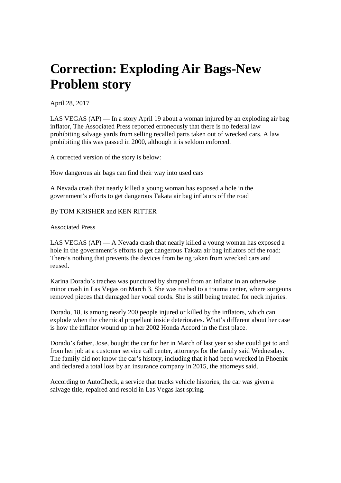## **Correction: Exploding Air Bags-New Problem story**

April 28, 2017

LAS VEGAS  $AP$ ) — In a story April 19 about a woman injured by an exploding air bag inflator, The Associated Press reported erroneously that there is no federal law prohibiting salvage yards from selling recalled parts taken out of wrecked cars. A law prohibiting this was passed in 2000, although it is seldom enforced.

A corrected version of the story is below:

How dangerous air bags can find their way into used cars

A Nevada crash that nearly killed a young woman has exposed a hole in the government's efforts to get dangerous Takata air bag inflators off the road

## By TOM KRISHER and KEN RITTER

Associated Press

LAS VEGAS (AP) — A Nevada crash that nearly killed a young woman has exposed a hole in the government's efforts to get dangerous Takata air bag inflators off the road: There's nothing that prevents the devices from being taken from wrecked cars and reused.

Karina Dorado's trachea was punctured by shrapnel from an inflator in an otherwise minor crash in Las Vegas on March 3. She was rushed to a trauma center, where surgeons removed pieces that damaged her vocal cords. She is still being treated for neck injuries.

Dorado, 18, is among nearly 200 people injured or killed by the inflators, which can explode when the chemical propellant inside deteriorates. What's different about her case is how the inflator wound up in her 2002 Honda Accord in the first place.

Dorado's father, Jose, bought the car for her in March of last year so she could get to and from her job at a customer service call center, attorneys for the family said Wednesday. The family did not know the car's history, including that it had been wrecked in Phoenix and declared a total loss by an insurance company in 2015, the attorneys said.

According to AutoCheck, a service that tracks vehicle histories, the car was given a salvage title, repaired and resold in Las Vegas last spring.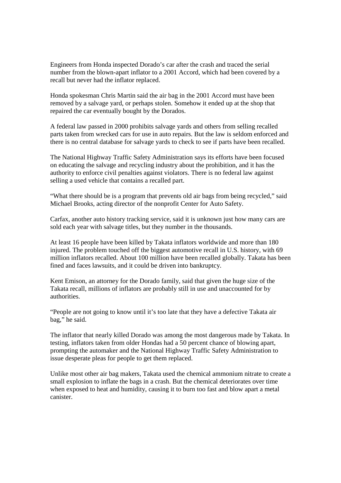Engineers from Honda inspected Dorado's car after the crash and traced the serial number from the blown-apart inflator to a 2001 Accord, which had been covered by a recall but never had the inflator replaced.

Honda spokesman Chris Martin said the air bag in the 2001 Accord must have been removed by a salvage yard, or perhaps stolen. Somehow it ended up at the shop that repaired the car eventually bought by the Dorados.

A federal law passed in 2000 prohibits salvage yards and others from selling recalled parts taken from wrecked cars for use in auto repairs. But the law is seldom enforced and there is no central database for salvage yards to check to see if parts have been recalled.

The National Highway Traffic Safety Administration says its efforts have been focused on educating the salvage and recycling industry about the prohibition, and it has the authority to enforce civil penalties against violators. There is no federal law against selling a used vehicle that contains a recalled part.

"What there should be is a program that prevents old air bags from being recycled," said Michael Brooks, acting director of the nonprofit Center for Auto Safety.

Carfax, another auto history tracking service, said it is unknown just how many cars are sold each year with salvage titles, but they number in the thousands.

At least 16 people have been killed by Takata inflators worldwide and more than 180 injured. The problem touched off the biggest automotive recall in U.S. history, with 69 million inflators recalled. About 100 million have been recalled globally. Takata has been fined and faces lawsuits, and it could be driven into bankruptcy.

Kent Emison, an attorney for the Dorado family, said that given the huge size of the Takata recall, millions of inflators are probably still in use and unaccounted for by authorities.

"People are not going to know until it's too late that they have a defective Takata air bag," he said.

The inflator that nearly killed Dorado was among the most dangerous made by Takata. In testing, inflators taken from older Hondas had a 50 percent chance of blowing apart, prompting the automaker and the National Highway Traffic Safety Administration to issue desperate pleas for people to get them replaced.

Unlike most other air bag makers, Takata used the chemical ammonium nitrate to create a small explosion to inflate the bags in a crash. But the chemical deteriorates over time when exposed to heat and humidity, causing it to burn too fast and blow apart a metal canister.